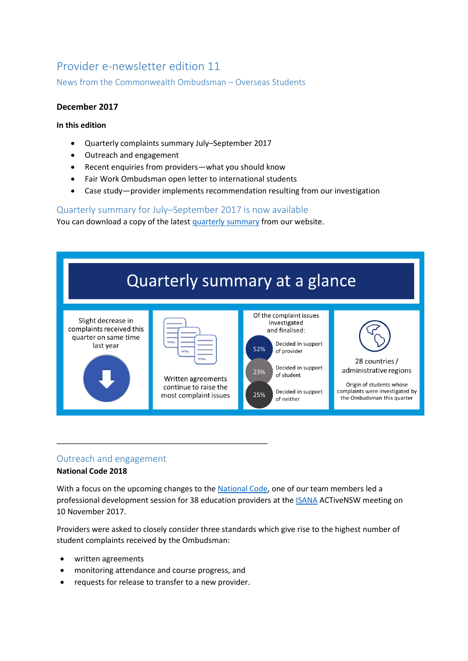# Provider e-newsletter edition 11

## News from the Commonwealth Ombudsman – Overseas Students

## **December 2017**

## **In this edition**

- Quarterly complaints summary July–September 2017
- Outreach and engagement
- Recent enquiries from providers—what you should know
- Fair Work Ombudsman open letter to international students
- Case study—provider implements recommendation resulting from our investigation

## Quarterly summary for July–September 2017 is now available

You can download a copy of the lates[t quarterly summary](http://www.ombudsman.gov.au/publications/oso-publications/reports/oso-quarterly-reports) from our website.



#### Outreach and engagement

#### **National Code 2018**

With a focus on the upcoming changes to the [National Code,](https://internationaleducation.gov.au/Regulatory-Information/Pages/National-Code-2018-Factsheets-.aspx) one of our team members led a professional development session for 38 education providers at the [ISANA](http://www.isana.org.au/) ACTiveNSW meeting on 10 November 2017.

Providers were asked to closely consider three standards which give rise to the highest number of student complaints received by the Ombudsman:

- written agreements
- monitoring attendance and course progress, and

\_\_\_\_\_\_\_\_\_\_\_\_\_\_\_\_\_\_\_\_\_\_\_\_\_\_\_\_\_\_\_\_\_\_\_\_\_\_\_\_\_\_\_\_\_\_\_\_\_

requests for release to transfer to a new provider.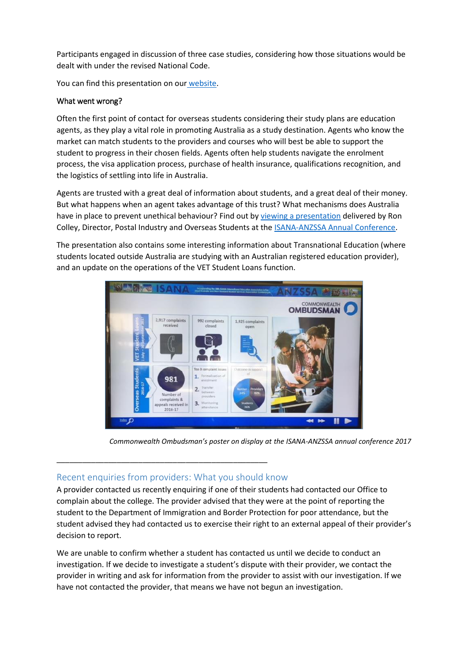Participants engaged in discussion of three case studies, considering how those situations would be dealt with under the revised National Code.

You can find this presentation on our [website.](http://www.ombudsman.gov.au/news-and-media/speeches-and-presentations)

### What went wrong?

Often the first point of contact for overseas students considering their study plans are education agents, as they play a vital role in promoting Australia as a study destination. Agents who know the market can match students to the providers and courses who will best be able to support the student to progress in their chosen fields. Agents often help students navigate the enrolment process, the visa application process, purchase of health insurance, qualifications recognition, and the logistics of settling into life in Australia.

Agents are trusted with a great deal of information about students, and a great deal of their money. But what happens when an agent takes advantage of this trust? What mechanisms does Australia have in place to prevent unethical behaviour? Find out by [viewing a presentation](http://www.ombudsman.gov.au/news-and-media/speeches-and-presentations) delivered by Ron Colley, Director, Postal Industry and Overseas Students at the [ISANA-ANZSSA Annual Conference.](http://www.isana.org.au/isana-anzssa-conference-2017-call-for-abstracts-open/)

The presentation also contains some interesting information about Transnational Education (where students located outside Australia are studying with an Australian registered education provider), and an update on the operations of the VET Student Loans function.



*Commonwealth Ombudsman's poster on display at the ISANA-ANZSSA annual conference 2017*

## Recent enquiries from providers: What you should know

\_\_\_\_\_\_\_\_\_\_\_\_\_\_\_\_\_\_\_\_\_\_\_\_\_\_\_\_\_\_\_\_\_\_\_\_\_\_\_\_\_\_\_\_\_\_\_\_\_

A provider contacted us recently enquiring if one of their students had contacted our Office to complain about the college. The provider advised that they were at the point of reporting the student to the Department of Immigration and Border Protection for poor attendance, but the student advised they had contacted us to exercise their right to an external appeal of their provider's decision to report.

We are unable to confirm whether a student has contacted us until we decide to conduct an investigation. If we decide to investigate a student's dispute with their provider, we contact the provider in writing and ask for information from the provider to assist with our investigation. If we have not contacted the provider, that means we have not begun an investigation.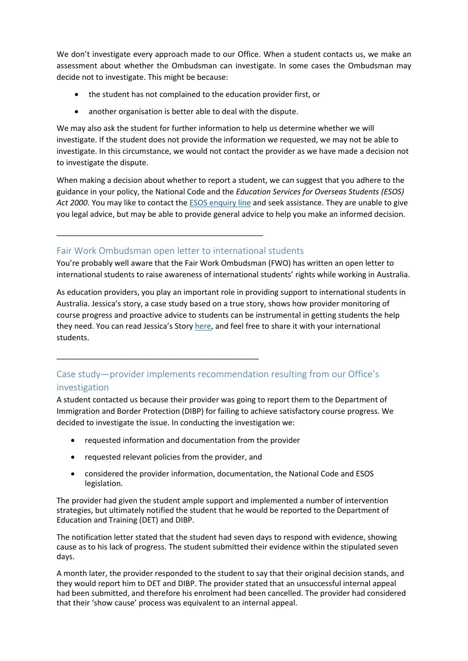We don't investigate every approach made to our Office. When a student contacts us, we make an assessment about whether the Ombudsman can investigate. In some cases the Ombudsman may decide not to investigate. This might be because:

- the student has not complained to the education provider first, or
- another organisation is better able to deal with the dispute.

We may also ask the student for further information to help us determine whether we will investigate. If the student does not provide the information we requested, we may not be able to investigate. In this circumstance, we would not contact the provider as we have made a decision not to investigate the dispute.

When making a decision about whether to report a student, we can suggest that you adhere to the guidance in your policy, the National Code and the *Education Services for Overseas Students (ESOS) Act 2000*. You may like to contact the [ESOS enquiry line](https://internationaleducation.gov.au/About-AEI/Contact-Us/Pages/ContactUs.aspx) and seek assistance. They are unable to give you legal advice, but may be able to provide general advice to help you make an informed decision.

## Fair Work Ombudsman open letter to international students

\_\_\_\_\_\_\_\_\_\_\_\_\_\_\_\_\_\_\_\_\_\_\_\_\_\_\_\_\_\_\_\_\_\_\_\_\_\_\_\_\_\_\_\_\_\_\_\_

\_\_\_\_\_\_\_\_\_\_\_\_\_\_\_\_\_\_\_\_\_\_\_\_\_\_\_\_\_\_\_\_\_\_\_\_\_\_\_\_\_\_\_\_\_\_\_

You're probably well aware that the Fair Work Ombudsman (FWO) has written an open letter to international students to raise awareness of international students' rights while working in Australia.

As education providers, you play an important role in providing support to international students in Australia. Jessica's story, a case study based on a true story, shows how provider monitoring of course progress and proactive advice to students can be instrumental in getting students the help they need. You can read Jessica's Story [here,](https://www.fairwork.gov.au/ArticleDocuments/725/jessicas-story-international-students.pdf.aspx) and feel free to share it with your international students.

## Case study—provider implements recommendation resulting from our Office's investigation

A student contacted us because their provider was going to report them to the Department of Immigration and Border Protection (DIBP) for failing to achieve satisfactory course progress. We decided to investigate the issue. In conducting the investigation we:

- requested information and documentation from the provider
- requested relevant policies from the provider, and
- considered the provider information, documentation, the National Code and ESOS legislation.

The provider had given the student ample support and implemented a number of intervention strategies, but ultimately notified the student that he would be reported to the Department of Education and Training (DET) and DIBP.

The notification letter stated that the student had seven days to respond with evidence, showing cause as to his lack of progress. The student submitted their evidence within the stipulated seven days.

A month later, the provider responded to the student to say that their original decision stands, and they would report him to DET and DIBP. The provider stated that an unsuccessful internal appeal had been submitted, and therefore his enrolment had been cancelled. The provider had considered that their 'show cause' process was equivalent to an internal appeal.